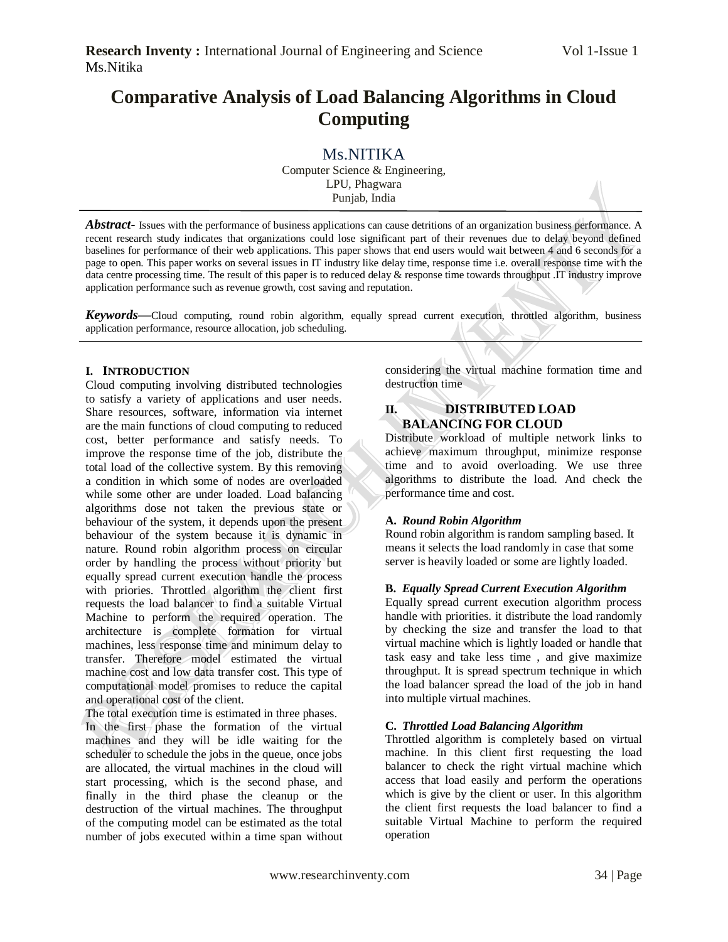# **Comparative Analysis of Load Balancing Algorithms in Cloud Computing**

Ms.NITIKA Computer Science & Engineering, LPU, Phagwara Punjab, India

*Abstract* - Issues with the performance of business applications can cause detritions of an organization business performance. A recent research study indicates that organizations could lose significant part of their revenues due to delay beyond defined baselines for performance of their web applications. This paper shows that end users would wait between 4 and 6 seconds for a page to open. This paper works on several issues in IT industry like delay time, response time i.e. overall response time with the data centre processing time. The result of this paper is to reduced delay & response time towards throughput .IT industry improve application performance such as revenue growth, cost saving and reputation.

*Keywords***—**Cloud computing, round robin algorithm, equally spread current execution, throttled algorithm, business application performance, resource allocation, job scheduling.

#### **I. INTRODUCTION**

Cloud computing involving distributed technologies to satisfy a variety of applications and user needs. Share resources, software, information via internet are the main functions of cloud computing to reduced cost, better performance and satisfy needs. To improve the response time of the job, distribute the total load of the collective system. By this removing a condition in which some of nodes are overloaded while some other are under loaded. Load balancing algorithms dose not taken the previous state or behaviour of the system, it depends upon the present behaviour of the system because it is dynamic in nature. Round robin algorithm process on circular order by handling the process without priority but equally spread current execution handle the process with priories. Throttled algorithm the client first requests the load balancer to find a suitable Virtual Machine to perform the required operation. The architecture is complete formation for virtual machines, less response time and minimum delay to transfer. Therefore model estimated the virtual machine cost and low data transfer cost. This type of computational model promises to reduce the capital and operational cost of the client.

The total execution time is estimated in three phases.

In the first phase the formation of the virtual machines and they will be idle waiting for the scheduler to schedule the jobs in the queue, once jobs are allocated, the virtual machines in the cloud will start processing, which is the second phase, and finally in the third phase the cleanup or the destruction of the virtual machines. The throughput of the computing model can be estimated as the total number of jobs executed within a time span without considering the virtual machine formation time and destruction time

# **II. DISTRIBUTED LOAD BALANCING FOR CLOUD**

Distribute workload of multiple network links to achieve maximum throughput, minimize response time and to avoid overloading. We use three algorithms to distribute the load. And check the performance time and cost.

#### **A.** *Round Robin Algorithm*

Round robin algorithm is random sampling based. It means it selects the load randomly in case that some server is heavily loaded or some are lightly loaded.

# **B.** *Equally Spread Current Execution Algorithm*

Equally spread current execution algorithm process handle with priorities. it distribute the load randomly by checking the size and transfer the load to that virtual machine which is lightly loaded or handle that task easy and take less time , and give maximize throughput. It is spread spectrum technique in which the load balancer spread the load of the job in hand into multiple virtual machines.

#### **C.** *Throttled Load Balancing Algorithm*

Throttled algorithm is completely based on virtual machine. In this client first requesting the load balancer to check the right virtual machine which access that load easily and perform the operations which is give by the client or user. In this algorithm the client first requests the load balancer to find a suitable Virtual Machine to perform the required operation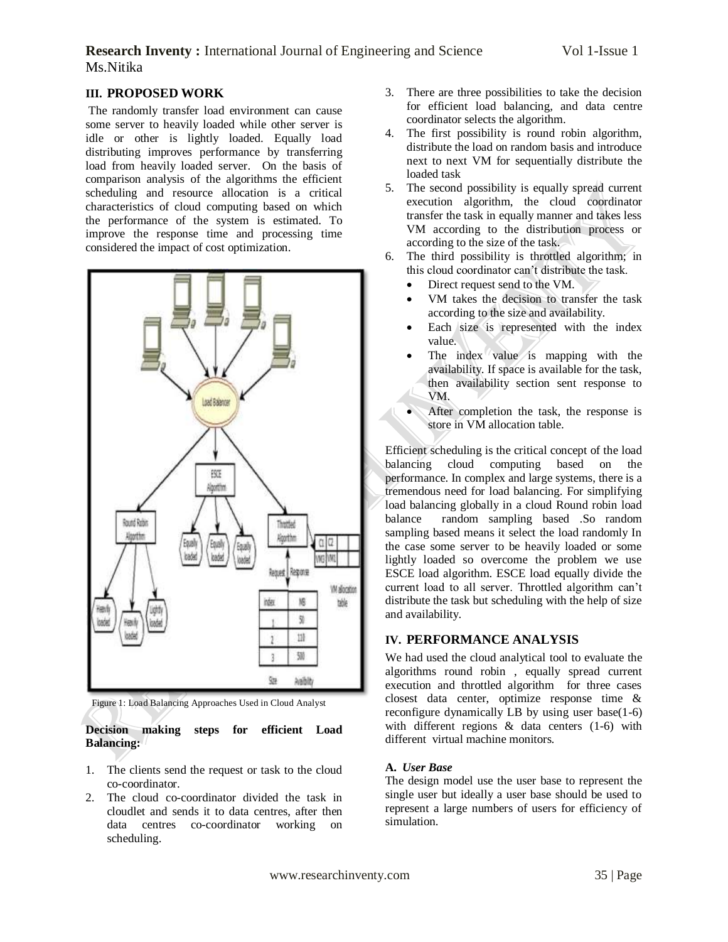# **Research Inventy:** International Journal of Engineering and Science Vol 1-Issue 1 Ms.Nitika

### **III. PROPOSED WORK**

The randomly transfer load environment can cause some server to heavily loaded while other server is idle or other is lightly loaded. Equally load distributing improves performance by transferring load from heavily loaded server. On the basis of comparison analysis of the algorithms the efficient scheduling and resource allocation is a critical characteristics of cloud computing based on which the performance of the system is estimated. To improve the response time and processing time considered the impact of cost optimization.



Figure 1: Load Balancing Approaches Used in Cloud Analyst

**Decision making steps for efficient Load Balancing:**

- 1. The clients send the request or task to the cloud co-coordinator.
- 2. The cloud co-coordinator divided the task in cloudlet and sends it to data centres, after then data centres co-coordinator working on scheduling.
- 3. There are three possibilities to take the decision for efficient load balancing, and data centre coordinator selects the algorithm.
- 4. The first possibility is round robin algorithm, distribute the load on random basis and introduce next to next VM for sequentially distribute the loaded task
- 5. The second possibility is equally spread current execution algorithm, the cloud coordinator transfer the task in equally manner and takes less VM according to the distribution process or according to the size of the task.
- 6. The third possibility is throttled algorithm; in this cloud coordinator can't distribute the task.
	- Direct request send to the VM.
	- VM takes the decision to transfer the task according to the size and availability.
	- Each size is represented with the index value.
	- The index value is mapping with the availability. If space is available for the task, then availability section sent response to VM.
	- After completion the task, the response is store in VM allocation table.

Efficient scheduling is the critical concept of the load balancing cloud computing based on the performance. In complex and large systems, there is a tremendous need for load balancing. For simplifying load balancing globally in a cloud Round robin load balance random sampling based .So random sampling based means it select the load randomly In the case some server to be heavily loaded or some lightly loaded so overcome the problem we use ESCE load algorithm. ESCE load equally divide the current load to all server. Throttled algorithm can't distribute the task but scheduling with the help of size and availability.

#### **IV. PERFORMANCE ANALYSIS**

We had used the cloud analytical tool to evaluate the algorithms round robin , equally spread current execution and throttled algorithm for three cases closest data center, optimize response time & reconfigure dynamically LB by using user base(1-6) with different regions & data centers (1-6) with different virtual machine monitors.

#### **A.** *User Base*

The design model use the user base to represent the single user but ideally a user base should be used to represent a large numbers of users for efficiency of simulation.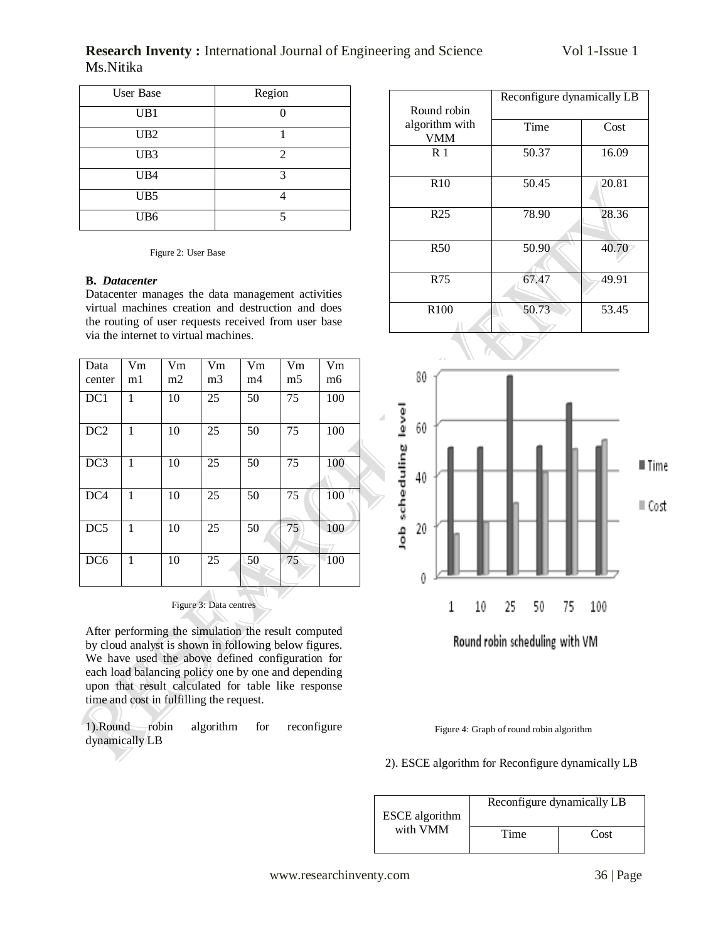# **Research Inventy :** International Journal of Engineering and Science Vol 1-Issue 1 Ms.Nitika

| User Base       | Region         |
|-----------------|----------------|
| UB1             |                |
| UB <sub>2</sub> |                |
| UB3             | $\overline{2}$ |
| UB4             | 3              |
| UB <sub>5</sub> |                |
| UB <sub>6</sub> | 5              |

Figure 2: User Base

#### **B.** *Datacenter*

Z.

Datacenter manages the data management activities virtual machines creation and destruction and does the routing of user requests received from user base via the internet to virtual machines.

| Data<br>center  | Vm<br>m1 | Vm<br>m2 | $V_{m}$<br>m <sub>3</sub> | Vm<br>m4 | V <sub>m</sub><br>m5 | Vm<br>m <sub>6</sub> |
|-----------------|----------|----------|---------------------------|----------|----------------------|----------------------|
| DC1             | 1        | 10       | 25                        | 50       | 75                   | 100                  |
| DC <sub>2</sub> | 1        | 10       | 25                        | 50       | 75                   | 100                  |
| DC3             | 1        | 10       | 25                        | 50       | 75                   | 100                  |
| DC <sub>4</sub> | 1        | 10       | 25                        | 50       | 75                   | 100                  |
| DC5             | 1        | 10       | 25                        | 50       | 75                   | 100                  |
| DC <sub>6</sub> | 1        | 10       | 25                        | 50       | 75                   | 100                  |

#### Figure 3: Data centres

v.

 $\overline{\nu}$ 

After performing the simulation the result computed by cloud analyst is shown in following below figures. We have used the above defined configuration for each load balancing policy one by one and depending upon that result calculated for table like response time and cost in fulfilling the request.

| 1).Round robin algorithm |  | . for | reconfigure |
|--------------------------|--|-------|-------------|
| dynamically LB           |  |       |             |

|                  | Reconfigure dynamically LB |       |
|------------------|----------------------------|-------|
| Round robin      |                            |       |
| algorithm with   | Time                       | Cost  |
| <b>VMM</b>       |                            |       |
| R <sub>1</sub>   | 50.37                      | 16.09 |
| R <sub>10</sub>  | 50.45                      | 20.81 |
| R <sub>25</sub>  | 78.90                      | 28.36 |
| <b>R50</b>       | 50.90                      | 40.70 |
| R75              | 67.47                      | 49.91 |
| R <sub>100</sub> | 50.73                      | 53.45 |



Figure 4: Graph of round robin algorithm

#### 2). ESCE algorithm for Reconfigure dynamically LB

| <b>ESCE</b> algorithm | Reconfigure dynamically LB |      |  |
|-----------------------|----------------------------|------|--|
| with VMM              | Time                       | Cost |  |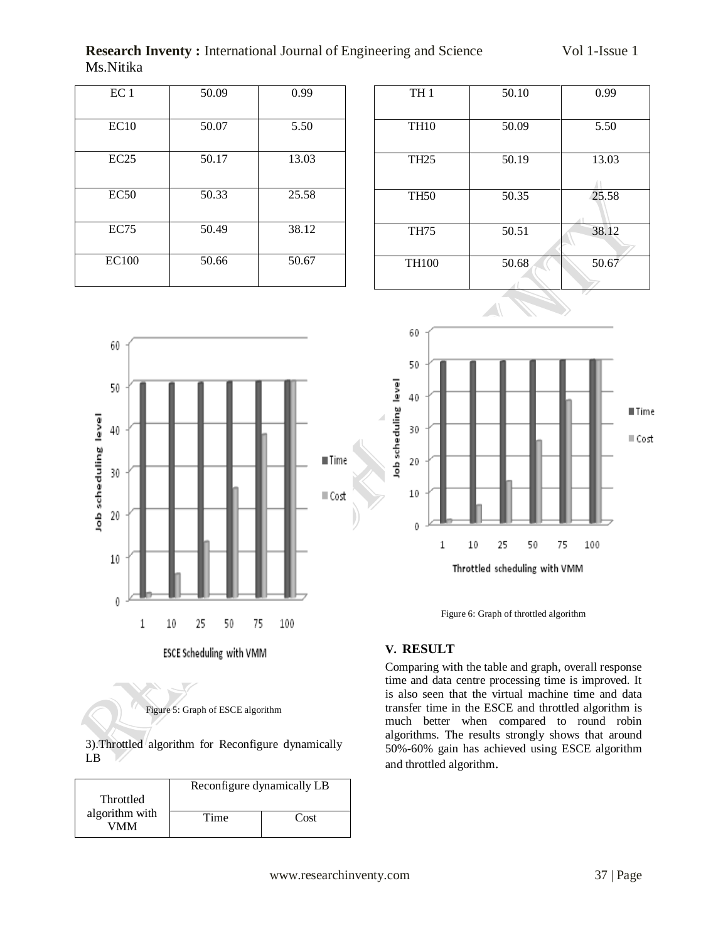**Research Inventy :** International Journal of Engineering and Science Vol 1-Issue 1 Ms.Nitika

| EC <sub>1</sub> | 50.09 | 0.99  |
|-----------------|-------|-------|
| EC10            | 50.07 | 5.50  |
| EC25            | 50.17 | 13.03 |
| EC50            | 50.33 | 25.58 |
| <b>EC75</b>     | 50.49 | 38.12 |
| <b>EC100</b>    | 50.66 | 50.67 |

| TH <sub>1</sub> | 50.10 | 0.99  |
|-----------------|-------|-------|
| <b>TH10</b>     | 50.09 | 5.50  |
| <b>TH25</b>     | 50.19 | 13.03 |
| <b>TH50</b>     | 50.35 | 25.58 |
| <b>TH75</b>     | 50.51 | 38.12 |
| <b>TH100</b>    | 50.68 | 50.67 |





Figure 6: Graph of throttled algorithm

# **V. RESULT**

Comparing with the table and graph, overall response time and data centre processing time is improved. It is also seen that the virtual machine time and data transfer time in the ESCE and throttled algorithm is much better when compared to round robin algorithms. The results strongly shows that around 50%-60% gain has achieved using ESCE algorithm and throttled algorithm.



3).Throttled algorithm for Reconfigure dynamically LB

|                       | Reconfigure dynamically LB |      |  |
|-----------------------|----------------------------|------|--|
| Throttled             |                            |      |  |
| algorithm with<br>VMM | Time                       | Cost |  |